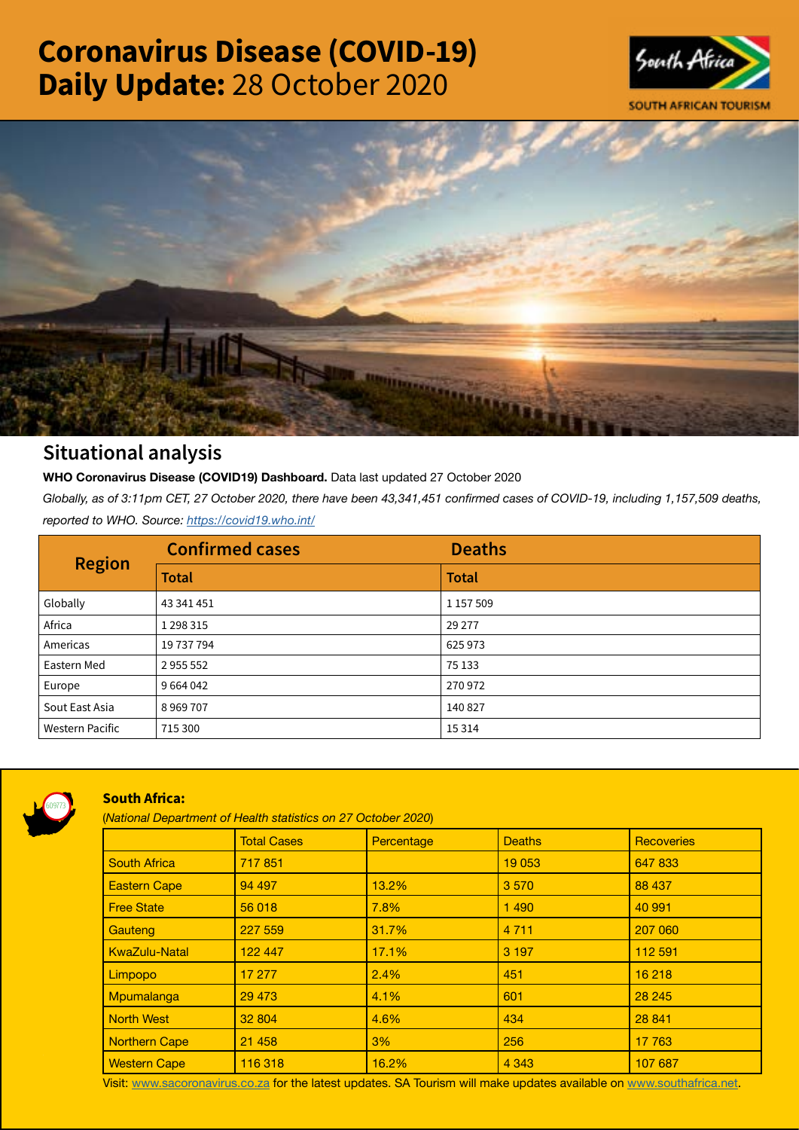# Coronavirus Disease (COVID-19) Daily Update: 28 October 2020





# Situational analysis

**WHO Coronavirus Disease (COVID19) Dashboard.** Data last updated 27 October 2020

*Globally, as of 3:11pm CET, 27 October 2020, there have been 43,341,451 confirmed cases of COVID-19, including 1,157,509 deaths, reported to WHO. Source:<https://covid19.who.int/>*

| <b>Region</b>          | <b>Confirmed cases</b> | <b>Deaths</b> |
|------------------------|------------------------|---------------|
|                        | <b>Total</b>           | <b>Total</b>  |
| Globally               | 43 341 451             | 1 157 509     |
| Africa                 | 1 2 9 3 3 1 5          | 29 277        |
| Americas               | 19 737 794             | 625973        |
| Eastern Med            | 2955552                | 75 133        |
| Europe                 | 9 6 6 4 0 4 2          | 270972        |
| Sout East Asia         | 8969707                | 140 827       |
| <b>Western Pacific</b> | 715 300                | 15 3 14       |



# South Africa:

(*National Department of Health statistics on 27 October 2020*)

|                      | <b>Total Cases</b> | Percentage | <b>Deaths</b> | <b>Recoveries</b> |  |  |
|----------------------|--------------------|------------|---------------|-------------------|--|--|
| <b>South Africa</b>  | 717851             |            | 19 0 53       | 647833            |  |  |
| <b>Eastern Cape</b>  | 94 497             | 13.2%      | 3570          | 88 437            |  |  |
| <b>Free State</b>    | 56 018             | 7.8%       | 1490          | 40 991            |  |  |
| Gauteng              | 227 559            | 31.7%      | 4 7 1 1       | 207 060           |  |  |
| <b>KwaZulu-Natal</b> | 122 447            | 17.1%      | 3 1 9 7       | 112 591           |  |  |
| Limpopo              | 17 277             | 2.4%       | 451           | 16 218            |  |  |
| Mpumalanga           | 29 4 73            | 4.1%       | 601           | 28 245            |  |  |
| <b>North West</b>    | 32 804             | 4.6%       | 434           | 28 841            |  |  |
| Northern Cape        | 21 4 5 8           | 3%         | 256           | 17 763            |  |  |
| <b>Western Cape</b>  | 116 318            | 16.2%      | 4 3 4 3       | 107 687           |  |  |

Visit: [www.sacoronavirus.co.za](http://www.sacoronavirus.co.za) for the latest updates. SA Tourism will make updates available on [www.southafrica.net.](http://www.southafrica.net)